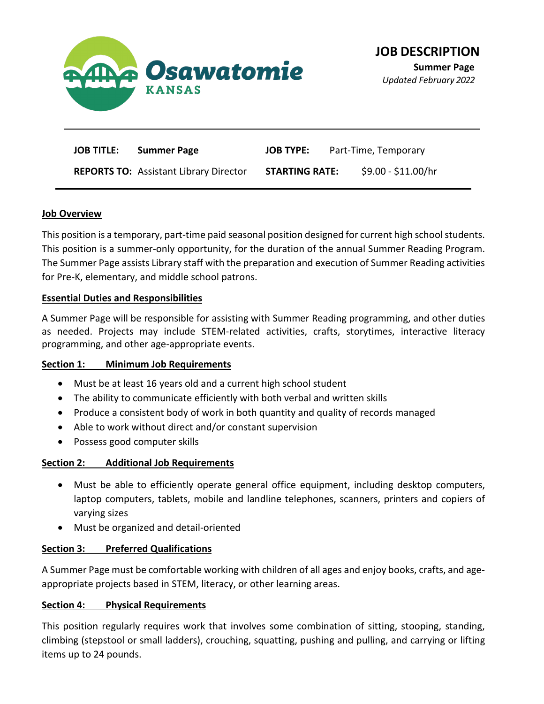

**Summer Page** *Updated February 2022*

| <b>JOB TITLE:</b><br><b>Summer Page</b>       | <b>JOB TYPE:</b>      | Part-Time, Temporary |
|-----------------------------------------------|-----------------------|----------------------|
| <b>REPORTS TO: Assistant Library Director</b> | <b>STARTING RATE:</b> | \$9.00 - \$11.00/hr  |

#### **Job Overview**

This position is a temporary, part-time paid seasonal position designed for current high school students. This position is a summer-only opportunity, for the duration of the annual Summer Reading Program. The Summer Page assists Library staff with the preparation and execution of Summer Reading activities for Pre-K, elementary, and middle school patrons.

### **Essential Duties and Responsibilities**

A Summer Page will be responsible for assisting with Summer Reading programming, and other duties as needed. Projects may include STEM-related activities, crafts, storytimes, interactive literacy programming, and other age-appropriate events.

#### **Section 1: Minimum Job Requirements**

- Must be at least 16 years old and a current high school student
- The ability to communicate efficiently with both verbal and written skills
- Produce a consistent body of work in both quantity and quality of records managed
- Able to work without direct and/or constant supervision
- Possess good computer skills

# **Section 2: Additional Job Requirements**

- Must be able to efficiently operate general office equipment, including desktop computers, laptop computers, tablets, mobile and landline telephones, scanners, printers and copiers of varying sizes
- Must be organized and detail-oriented

# **Section 3: Preferred Qualifications**

A Summer Page must be comfortable working with children of all ages and enjoy books, crafts, and ageappropriate projects based in STEM, literacy, or other learning areas.

# **Section 4: Physical Requirements**

This position regularly requires work that involves some combination of sitting, stooping, standing, climbing (stepstool or small ladders), crouching, squatting, pushing and pulling, and carrying or lifting items up to 24 pounds.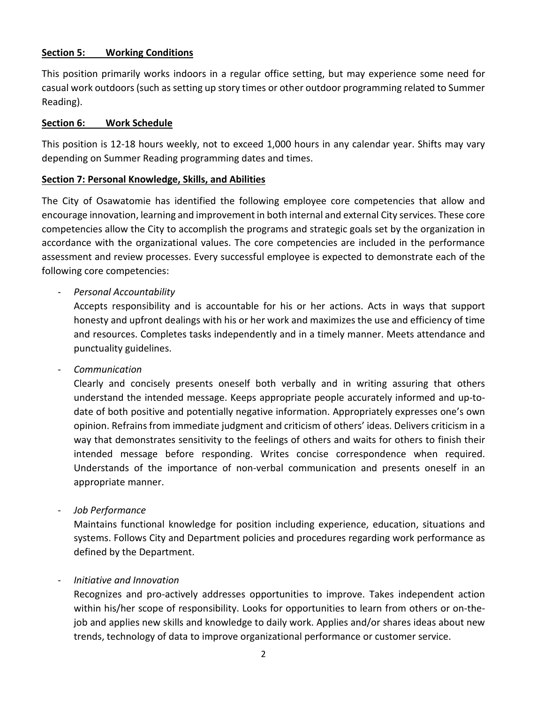## **Section 5: Working Conditions**

This position primarily works indoors in a regular office setting, but may experience some need for casual work outdoors(such as setting up story times or other outdoor programming related to Summer Reading).

#### **Section 6: Work Schedule**

This position is 12-18 hours weekly, not to exceed 1,000 hours in any calendar year. Shifts may vary depending on Summer Reading programming dates and times.

## **Section 7: Personal Knowledge, Skills, and Abilities**

The City of Osawatomie has identified the following employee core competencies that allow and encourage innovation, learning and improvement in both internal and external City services. These core competencies allow the City to accomplish the programs and strategic goals set by the organization in accordance with the organizational values. The core competencies are included in the performance assessment and review processes. Every successful employee is expected to demonstrate each of the following core competencies:

# - *Personal Accountability*

Accepts responsibility and is accountable for his or her actions. Acts in ways that support honesty and upfront dealings with his or her work and maximizes the use and efficiency of time and resources. Completes tasks independently and in a timely manner. Meets attendance and punctuality guidelines.

- *Communication*

Clearly and concisely presents oneself both verbally and in writing assuring that others understand the intended message. Keeps appropriate people accurately informed and up-todate of both positive and potentially negative information. Appropriately expresses one's own opinion. Refrains from immediate judgment and criticism of others' ideas. Delivers criticism in a way that demonstrates sensitivity to the feelings of others and waits for others to finish their intended message before responding. Writes concise correspondence when required. Understands of the importance of non-verbal communication and presents oneself in an appropriate manner.

- *Job Performance*

Maintains functional knowledge for position including experience, education, situations and systems. Follows City and Department policies and procedures regarding work performance as defined by the Department.

#### - *Initiative and Innovation*

Recognizes and pro-actively addresses opportunities to improve. Takes independent action within his/her scope of responsibility. Looks for opportunities to learn from others or on-thejob and applies new skills and knowledge to daily work. Applies and/or shares ideas about new trends, technology of data to improve organizational performance or customer service.